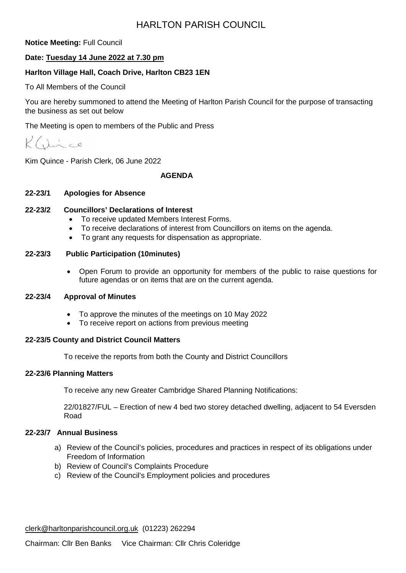## HARLTON PARISH COUNCIL

**Notice Meeting:** Full Council

## **Date: Tuesday 14 June 2022 at 7.30 pm**

## **Harlton Village Hall, Coach Drive, Harlton CB23 1EN**

To All Members of the Council

You are hereby summoned to attend the Meeting of Harlton Parish Council for the purpose of transacting the business as set out below

The Meeting is open to members of the Public and Press

Dince  $\mathcal{K}$ 

Kim Quince - Parish Clerk, 06 June 2022

#### **AGENDA**

#### **22-23/1 Apologies for Absence**

#### **22-23/2 Councillors' Declarations of Interest**

- To receive updated Members Interest Forms.
- To receive declarations of interest from Councillors on items on the agenda.
- To grant any requests for dispensation as appropriate.

#### **22-23/3 Public Participation (10minutes)**

• Open Forum to provide an opportunity for members of the public to raise questions for future agendas or on items that are on the current agenda.

#### **22-23/4 Approval of Minutes**

- To approve the minutes of the meetings on 10 May 2022
- To receive report on actions from previous meeting

#### **22-23/5 County and District Council Matters**

To receive the reports from both the County and District Councillors

#### **22-23/6 Planning Matters**

To receive any new Greater Cambridge Shared Planning Notifications:

22/01827/FUL – Erection of new 4 bed two storey detached dwelling, adjacent to 54 Eversden Road

## **22-23/7 Annual Business**

- a) Review of the Council's policies, procedures and practices in respect of its obligations under Freedom of Information
- b) Review of Council's Complaints Procedure
- c) Review of the Council's Employment policies and procedures

[clerk@harltonparishcouncil.org.uk](mailto:clerk@harltonparishcouncil.org.uk) (01223) 262294